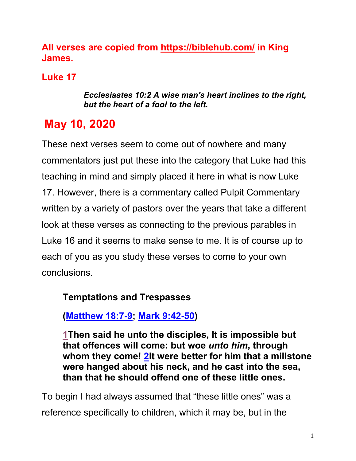## **All verses are copied from https://biblehub.com/ in King James.**

# **Luke 17**

#### *Ecclesiastes 10:2 A wise man's heart inclines to the right, but the heart of a fool to the left.*

# **May 10, 2020**

These next verses seem to come out of nowhere and many commentators just put these into the category that Luke had this teaching in mind and simply placed it here in what is now Luke 17. However, there is a commentary called Pulpit Commentary written by a variety of pastors over the years that take a different look at these verses as connecting to the previous parables in Luke 16 and it seems to make sense to me. It is of course up to each of you as you study these verses to come to your own conclusions.

## **Temptations and Trespasses**

**(Matthew 18:7-9; Mark 9:42-50)**

**1Then said he unto the disciples, It is impossible but that offences will come: but woe** *unto him***, through whom they come! 2It were better for him that a millstone were hanged about his neck, and he cast into the sea, than that he should offend one of these little ones.** 

To begin I had always assumed that "these little ones" was a reference specifically to children, which it may be, but in the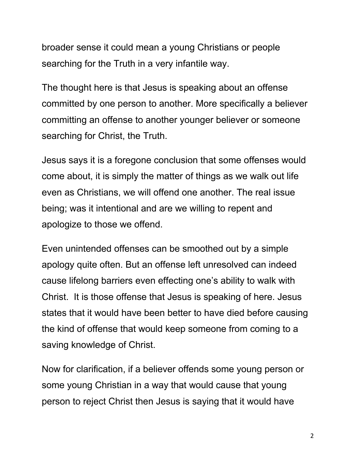broader sense it could mean a young Christians or people searching for the Truth in a very infantile way.

The thought here is that Jesus is speaking about an offense committed by one person to another. More specifically a believer committing an offense to another younger believer or someone searching for Christ, the Truth.

Jesus says it is a foregone conclusion that some offenses would come about, it is simply the matter of things as we walk out life even as Christians, we will offend one another. The real issue being; was it intentional and are we willing to repent and apologize to those we offend.

Even unintended offenses can be smoothed out by a simple apology quite often. But an offense left unresolved can indeed cause lifelong barriers even effecting one's ability to walk with Christ. It is those offense that Jesus is speaking of here. Jesus states that it would have been better to have died before causing the kind of offense that would keep someone from coming to a saving knowledge of Christ.

Now for clarification, if a believer offends some young person or some young Christian in a way that would cause that young person to reject Christ then Jesus is saying that it would have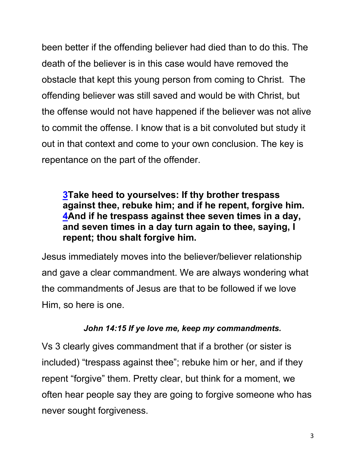been better if the offending believer had died than to do this. The death of the believer is in this case would have removed the obstacle that kept this young person from coming to Christ. The offending believer was still saved and would be with Christ, but the offense would not have happened if the believer was not alive to commit the offense. I know that is a bit convoluted but study it out in that context and come to your own conclusion. The key is repentance on the part of the offender.

## **3Take heed to yourselves: If thy brother trespass against thee, rebuke him; and if he repent, forgive him. 4And if he trespass against thee seven times in a day, and seven times in a day turn again to thee, saying, I repent; thou shalt forgive him.**

Jesus immediately moves into the believer/believer relationship and gave a clear commandment. We are always wondering what the commandments of Jesus are that to be followed if we love Him, so here is one.

#### *John 14:15 If ye love me, keep my commandments.*

Vs 3 clearly gives commandment that if a brother (or sister is included) "trespass against thee"; rebuke him or her, and if they repent "forgive" them. Pretty clear, but think for a moment, we often hear people say they are going to forgive someone who has never sought forgiveness.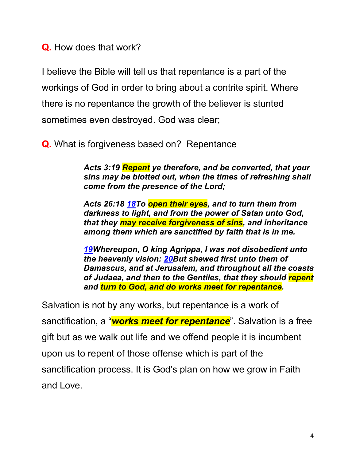**Q.** How does that work?

I believe the Bible will tell us that repentance is a part of the workings of God in order to bring about a contrite spirit. Where there is no repentance the growth of the believer is stunted sometimes even destroyed. God was clear;

**Q.** What is forgiveness based on? Repentance

*Acts 3:19 Repent ye therefore, and be converted, that your sins may be blotted out, when the times of refreshing shall come from the presence of the Lord;*

*Acts 26:18 18To open their eyes, and to turn them from darkness to light, and from the power of Satan unto God, that they may receive forgiveness of sins, and inheritance among them which are sanctified by faith that is in me.*

*19Whereupon, O king Agrippa, I was not disobedient unto the heavenly vision: 20But shewed first unto them of Damascus, and at Jerusalem, and throughout all the coasts of Judaea, and then to the Gentiles, that they should repent and turn to God, and do works meet for repentance.* 

Salvation is not by any works, but repentance is a work of sanctification, a "*works meet for repentance*". Salvation is a free gift but as we walk out life and we offend people it is incumbent upon us to repent of those offense which is part of the sanctification process. It is God's plan on how we grow in Faith and Love.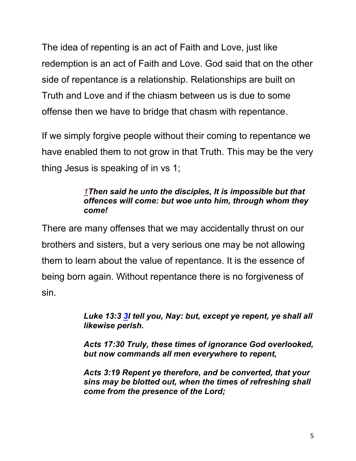The idea of repenting is an act of Faith and Love, just like redemption is an act of Faith and Love. God said that on the other side of repentance is a relationship. Relationships are built on Truth and Love and if the chiasm between us is due to some offense then we have to bridge that chasm with repentance.

If we simply forgive people without their coming to repentance we have enabled them to not grow in that Truth. This may be the very thing Jesus is speaking of in vs 1;

#### *1Then said he unto the disciples, It is impossible but that offences will come: but woe unto him, through whom they come!*

There are many offenses that we may accidentally thrust on our brothers and sisters, but a very serious one may be not allowing them to learn about the value of repentance. It is the essence of being born again. Without repentance there is no forgiveness of sin.

> *Luke 13:3 3I tell you, Nay: but, except ye repent, ye shall all likewise perish.*

> *Acts 17:30 Truly, these times of ignorance God overlooked, but now commands all men everywhere to repent,*

> *Acts 3:19 Repent ye therefore, and be converted, that your sins may be blotted out, when the times of refreshing shall come from the presence of the Lord;*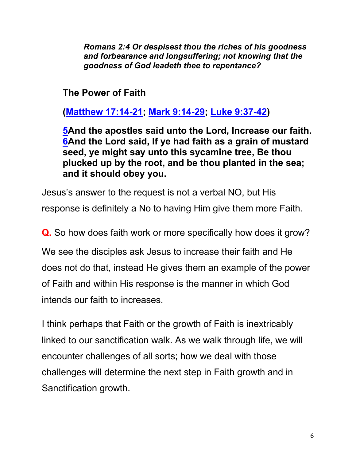*Romans 2:4 Or despisest thou the riches of his goodness and forbearance and longsuffering; not knowing that the goodness of God leadeth thee to repentance?*

**The Power of Faith**

**(Matthew 17:14-21; Mark 9:14-29; Luke 9:37-42)**

**5And the apostles said unto the Lord, Increase our faith. 6And the Lord said, If ye had faith as a grain of mustard seed, ye might say unto this sycamine tree, Be thou plucked up by the root, and be thou planted in the sea; and it should obey you.**

Jesus's answer to the request is not a verbal NO, but His response is definitely a No to having Him give them more Faith.

**Q.** So how does faith work or more specifically how does it grow?

We see the disciples ask Jesus to increase their faith and He does not do that, instead He gives them an example of the power of Faith and within His response is the manner in which God intends our faith to increases.

I think perhaps that Faith or the growth of Faith is inextricably linked to our sanctification walk. As we walk through life, we will encounter challenges of all sorts; how we deal with those challenges will determine the next step in Faith growth and in Sanctification growth.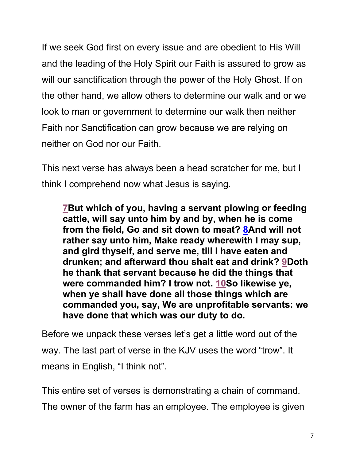If we seek God first on every issue and are obedient to His Will and the leading of the Holy Spirit our Faith is assured to grow as will our sanctification through the power of the Holy Ghost. If on the other hand, we allow others to determine our walk and or we look to man or government to determine our walk then neither Faith nor Sanctification can grow because we are relying on neither on God nor our Faith.

This next verse has always been a head scratcher for me, but I think I comprehend now what Jesus is saying.

**7But which of you, having a servant plowing or feeding cattle, will say unto him by and by, when he is come from the field, Go and sit down to meat? 8And will not rather say unto him, Make ready wherewith I may sup, and gird thyself, and serve me, till I have eaten and drunken; and afterward thou shalt eat and drink? 9Doth he thank that servant because he did the things that were commanded him? I trow not. 10So likewise ye, when ye shall have done all those things which are commanded you, say, We are unprofitable servants: we have done that which was our duty to do.**

Before we unpack these verses let's get a little word out of the way. The last part of verse in the KJV uses the word "trow". It means in English, "I think not".

This entire set of verses is demonstrating a chain of command. The owner of the farm has an employee. The employee is given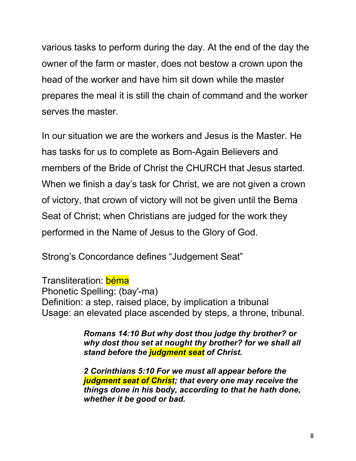various tasks to perform during the day. At the end of the day the owner of the farm or master, does not bestow a crown upon the head of the worker and have him sit down while the master prepares the meal it is still the chain of command and the worker serves the master.

In our situation we are the workers and Jesus is the Master. He has tasks for us to complete as Born-Again Believers and members of the Bride of Christ the CHURCH that Jesus started. When we finish a day's task for Christ, we are not given a crown of victory, that crown of victory will not be given until the Bema Seat of Christ; when Christians are judged for the work they performed in the Name of Jesus to the Glory of God.

Strong's Concordance defines "Judgement Seat"

Transliteration: béma Phonetic Spelling: (bay'-ma) Definition: a step, raised place, by implication a tribunal Usage: an elevated place ascended by steps, a throne, tribunal.

> *Romans 14:10 But why dost thou judge thy brother? or why dost thou set at nought thy brother? for we shall all stand before the judgment seat of Christ.*

> *2 Corinthians 5:10 For we must all appear before the judgment seat of Christ; that every one may receive the things done in his body, according to that he hath done, whether it be good or bad.*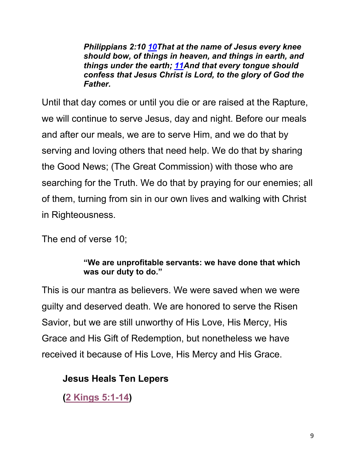*Philippians 2:10 10That at the name of Jesus every knee should bow, of things in heaven, and things in earth, and things under the earth; 11And that every tongue should confess that Jesus Christ is Lord, to the glory of God the Father.*

Until that day comes or until you die or are raised at the Rapture, we will continue to serve Jesus, day and night. Before our meals and after our meals, we are to serve Him, and we do that by serving and loving others that need help. We do that by sharing the Good News; (The Great Commission) with those who are searching for the Truth. We do that by praying for our enemies; all of them, turning from sin in our own lives and walking with Christ in Righteousness.

The end of verse 10;

#### **"We are unprofitable servants: we have done that which was our duty to do."**

This is our mantra as believers. We were saved when we were guilty and deserved death. We are honored to serve the Risen Savior, but we are still unworthy of His Love, His Mercy, His Grace and His Gift of Redemption, but nonetheless we have received it because of His Love, His Mercy and His Grace.

## **Jesus Heals Ten Lepers**

**(2 Kings 5:1-14)**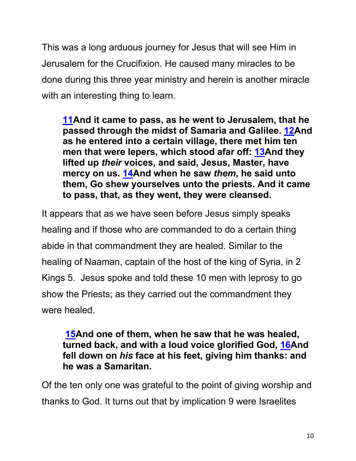This was a long arduous journey for Jesus that will see Him in Jerusalem for the Crucifixion. He caused many miracles to be done during this three year ministry and herein is another miracle with an interesting thing to learn.

**11And it came to pass, as he went to Jerusalem, that he passed through the midst of Samaria and Galilee. 12And as he entered into a certain village, there met him ten men that were lepers, which stood afar off: 13And they lifted up** *their* **voices, and said, Jesus, Master, have mercy on us. 14And when he saw** *them***, he said unto them, Go shew yourselves unto the priests. And it came to pass, that, as they went, they were cleansed.**

It appears that as we have seen before Jesus simply speaks healing and if those who are commanded to do a certain thing abide in that commandment they are healed. Similar to the healing of Naaman, captain of the host of the king of Syria, in 2 Kings 5. Jesus spoke and told these 10 men with leprosy to go show the Priests; as they carried out the commandment they were healed.

#### **15And one of them, when he saw that he was healed, turned back, and with a loud voice glorified God, 16And fell down on** *his* **face at his feet, giving him thanks: and he was a Samaritan.**

Of the ten only one was grateful to the point of giving worship and thanks to God. It turns out that by implication 9 were Israelites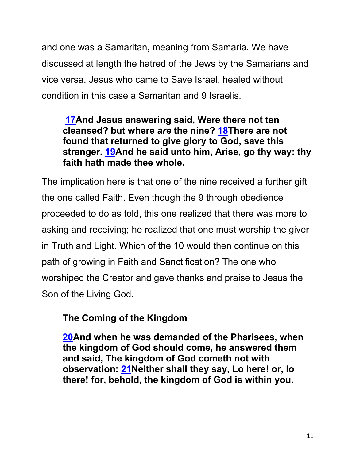and one was a Samaritan, meaning from Samaria. We have discussed at length the hatred of the Jews by the Samarians and vice versa. Jesus who came to Save Israel, healed without condition in this case a Samaritan and 9 Israelis.

## **17And Jesus answering said, Were there not ten cleansed? but where** *are* **the nine? 18There are not found that returned to give glory to God, save this stranger. 19And he said unto him, Arise, go thy way: thy faith hath made thee whole.**

The implication here is that one of the nine received a further gift the one called Faith. Even though the 9 through obedience proceeded to do as told, this one realized that there was more to asking and receiving; he realized that one must worship the giver in Truth and Light. Which of the 10 would then continue on this path of growing in Faith and Sanctification? The one who worshiped the Creator and gave thanks and praise to Jesus the Son of the Living God.

## **The Coming of the Kingdom**

**20And when he was demanded of the Pharisees, when the kingdom of God should come, he answered them and said, The kingdom of God cometh not with observation: 21Neither shall they say, Lo here! or, lo there! for, behold, the kingdom of God is within you.**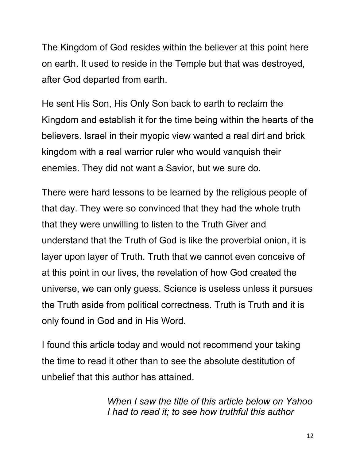The Kingdom of God resides within the believer at this point here on earth. It used to reside in the Temple but that was destroyed, after God departed from earth.

He sent His Son, His Only Son back to earth to reclaim the Kingdom and establish it for the time being within the hearts of the believers. Israel in their myopic view wanted a real dirt and brick kingdom with a real warrior ruler who would vanquish their enemies. They did not want a Savior, but we sure do.

There were hard lessons to be learned by the religious people of that day. They were so convinced that they had the whole truth that they were unwilling to listen to the Truth Giver and understand that the Truth of God is like the proverbial onion, it is layer upon layer of Truth. Truth that we cannot even conceive of at this point in our lives, the revelation of how God created the universe, we can only guess. Science is useless unless it pursues the Truth aside from political correctness. Truth is Truth and it is only found in God and in His Word.

I found this article today and would not recommend your taking the time to read it other than to see the absolute destitution of unbelief that this author has attained.

> *When I saw the title of this article below on Yahoo I had to read it; to see how truthful this author*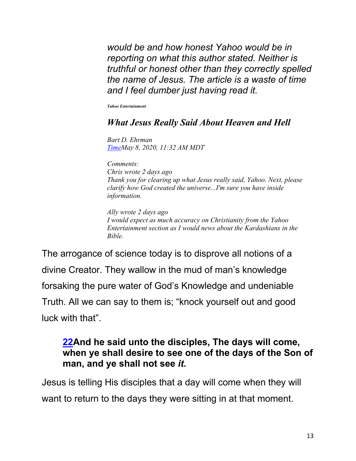*would be and how honest Yahoo would be in reporting on what this author stated. Neither is truthful or honest other than they correctly spelled the name of Jesus. The article is a waste of time and I feel dumber just having read it.* 

*Yahoo Entertainment*

#### *What Jesus Really Said About Heaven and Hell*

*Bart D. Ehrman TimeMay 8, 2020, 11:32 AM MDT*

*Comments: Chris wrote 2 days ago Thank you for clearing up what Jesus really said, Yahoo. Next, please clarify how God created the universe...I'm sure you have inside information.*

*Ally wrote 2 days ago I would expect as much accuracy on Christianity from the Yahoo Entertainment section as I would news about the Kardashians in the Bible.*

The arrogance of science today is to disprove all notions of a divine Creator. They wallow in the mud of man's knowledge forsaking the pure water of God's Knowledge and undeniable Truth. All we can say to them is; "knock yourself out and good luck with that".

#### **22And he said unto the disciples, The days will come, when ye shall desire to see one of the days of the Son of man, and ye shall not see** *it***.**

Jesus is telling His disciples that a day will come when they will want to return to the days they were sitting in at that moment.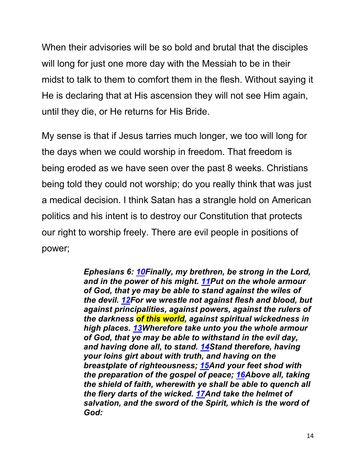When their advisories will be so bold and brutal that the disciples will long for just one more day with the Messiah to be in their midst to talk to them to comfort them in the flesh. Without saying it He is declaring that at His ascension they will not see Him again, until they die, or He returns for His Bride.

My sense is that if Jesus tarries much longer, we too will long for the days when we could worship in freedom. That freedom is being eroded as we have seen over the past 8 weeks. Christians being told they could not worship; do you really think that was just a medical decision. I think Satan has a strangle hold on American politics and his intent is to destroy our Constitution that protects our right to worship freely. There are evil people in positions of power;

> *Ephesians 6: 10Finally, my brethren, be strong in the Lord, and in the power of his might. 11Put on the whole armour of God, that ye may be able to stand against the wiles of the devil. 12For we wrestle not against flesh and blood, but against principalities, against powers, against the rulers of the darkness of this world, against spiritual wickedness in high places. 13Wherefore take unto you the whole armour of God, that ye may be able to withstand in the evil day, and having done all, to stand. 14Stand therefore, having your loins girt about with truth, and having on the breastplate of righteousness; 15And your feet shod with the preparation of the gospel of peace; 16Above all, taking the shield of faith, wherewith ye shall be able to quench all the fiery darts of the wicked. 17And take the helmet of salvation, and the sword of the Spirit, which is the word of God:*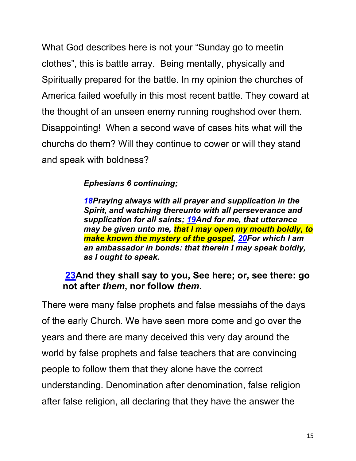What God describes here is not your "Sunday go to meetin clothes", this is battle array. Being mentally, physically and Spiritually prepared for the battle. In my opinion the churches of America failed woefully in this most recent battle. They coward at the thought of an unseen enemy running roughshod over them. Disappointing! When a second wave of cases hits what will the churchs do them? Will they continue to cower or will they stand and speak with boldness?

#### *Ephesians 6 continuing;*

*18Praying always with all prayer and supplication in the Spirit, and watching thereunto with all perseverance and supplication for all saints; 19And for me, that utterance may be given unto me, that I may open my mouth boldly, to make known the mystery of the gospel, 20For which I am an ambassador in bonds: that therein I may speak boldly, as I ought to speak.*

#### **23And they shall say to you, See here; or, see there: go not after** *them***, nor follow** *them***.**

There were many false prophets and false messiahs of the days of the early Church. We have seen more come and go over the years and there are many deceived this very day around the world by false prophets and false teachers that are convincing people to follow them that they alone have the correct understanding. Denomination after denomination, false religion after false religion, all declaring that they have the answer the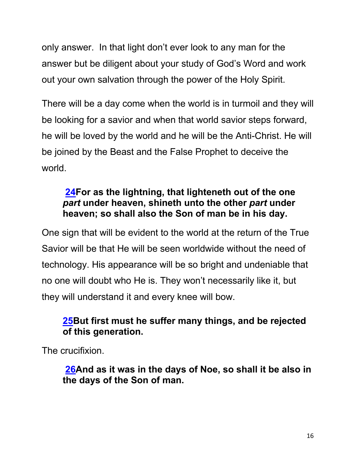only answer. In that light don't ever look to any man for the answer but be diligent about your study of God's Word and work out your own salvation through the power of the Holy Spirit.

There will be a day come when the world is in turmoil and they will be looking for a savior and when that world savior steps forward, he will be loved by the world and he will be the Anti-Christ. He will be joined by the Beast and the False Prophet to deceive the world.

## **24For as the lightning, that lighteneth out of the one**  *part* **under heaven, shineth unto the other** *part* **under heaven; so shall also the Son of man be in his day.**

One sign that will be evident to the world at the return of the True Savior will be that He will be seen worldwide without the need of technology. His appearance will be so bright and undeniable that no one will doubt who He is. They won't necessarily like it, but they will understand it and every knee will bow.

## **25But first must he suffer many things, and be rejected of this generation.**

The crucifixion.

**26And as it was in the days of Noe, so shall it be also in the days of the Son of man.**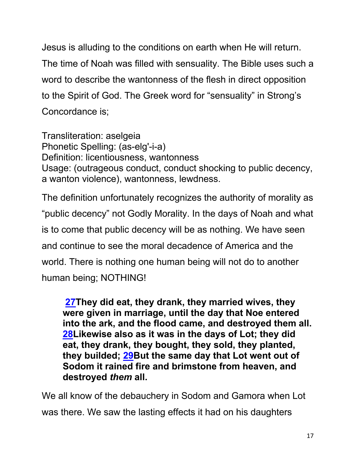Jesus is alluding to the conditions on earth when He will return. The time of Noah was filled with sensuality. The Bible uses such a word to describe the wantonness of the flesh in direct opposition to the Spirit of God. The Greek word for "sensuality" in Strong's Concordance is;

Transliteration: aselgeia Phonetic Spelling: (as-elg'-i-a) Definition: licentiousness, wantonness Usage: (outrageous conduct, conduct shocking to public decency, a wanton violence), wantonness, lewdness.

The definition unfortunately recognizes the authority of morality as "public decency" not Godly Morality. In the days of Noah and what is to come that public decency will be as nothing. We have seen and continue to see the moral decadence of America and the world. There is nothing one human being will not do to another human being; NOTHING!

**27They did eat, they drank, they married wives, they were given in marriage, until the day that Noe entered into the ark, and the flood came, and destroyed them all. 28Likewise also as it was in the days of Lot; they did eat, they drank, they bought, they sold, they planted, they builded; 29But the same day that Lot went out of Sodom it rained fire and brimstone from heaven, and destroyed** *them* **all.**

We all know of the debauchery in Sodom and Gamora when Lot was there. We saw the lasting effects it had on his daughters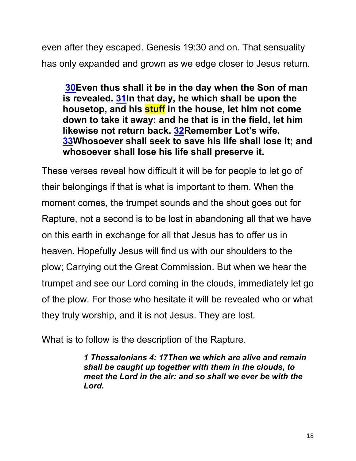even after they escaped. Genesis 19:30 and on. That sensuality has only expanded and grown as we edge closer to Jesus return.

**30Even thus shall it be in the day when the Son of man is revealed. 31In that day, he which shall be upon the housetop, and his stuff in the house, let him not come down to take it away: and he that is in the field, let him likewise not return back. 32Remember Lot's wife. 33Whosoever shall seek to save his life shall lose it; and whosoever shall lose his life shall preserve it.**

These verses reveal how difficult it will be for people to let go of their belongings if that is what is important to them. When the moment comes, the trumpet sounds and the shout goes out for Rapture, not a second is to be lost in abandoning all that we have on this earth in exchange for all that Jesus has to offer us in heaven. Hopefully Jesus will find us with our shoulders to the plow; Carrying out the Great Commission. But when we hear the trumpet and see our Lord coming in the clouds, immediately let go of the plow. For those who hesitate it will be revealed who or what they truly worship, and it is not Jesus. They are lost.

What is to follow is the description of the Rapture.

*1 Thessalonians 4: 17Then we which are alive and remain shall be caught up together with them in the clouds, to meet the Lord in the air: and so shall we ever be with the Lord.*